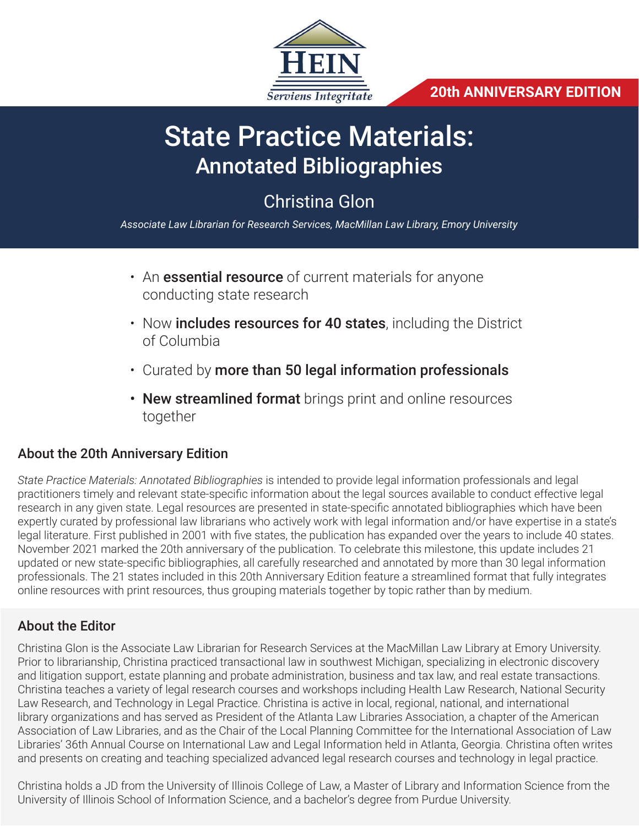

**20th ANNIVERSARY EDITION**

# State Practice Materials: Annotated Bibliographies

## Christina Glon

*Associate Law Librarian for Research Services, MacMillan Law Library, Emory University* 

- An **essential resource** of current materials for anyone conducting state research
- Now **includes resources for 40 states**, including the District of Columbia
- Curated by more than 50 legal information professionals
- New streamlined format brings print and online resources together

#### About the 20th Anniversary Edition

*State Practice Materials: Annotated Bibliographies* is intended to provide legal information professionals and legal practitioners timely and relevant state-specific information about the legal sources available to conduct effective legal research in any given state. Legal resources are presented in state-specific annotated bibliographies which have been expertly curated by professional law librarians who actively work with legal information and/or have expertise in a state's legal literature. First published in 2001 with five states, the publication has expanded over the years to include 40 states. November 2021 marked the 20th anniversary of the publication. To celebrate this milestone, this update includes 21 updated or new state-specific bibliographies, all carefully researched and annotated by more than 30 legal information professionals. The 21 states included in this 20th Anniversary Edition feature a streamlined format that fully integrates online resources with print resources, thus grouping materials together by topic rather than by medium.

#### About the Editor

Christina Glon is the Associate Law Librarian for Research Services at the MacMillan Law Library at Emory University. Prior to librarianship, Christina practiced transactional law in southwest Michigan, specializing in electronic discovery and litigation support, estate planning and probate administration, business and tax law, and real estate transactions. Christina teaches a variety of legal research courses and workshops including Health Law Research, National Security Law Research, and Technology in Legal Practice. Christina is active in local, regional, national, and international library organizations and has served as President of the Atlanta Law Libraries Association, a chapter of the American Association of Law Libraries, and as the Chair of the Local Planning Committee for the International Association of Law Libraries' 36th Annual Course on International Law and Legal Information held in Atlanta, Georgia. Christina often writes and presents on creating and teaching specialized advanced legal research courses and technology in legal practice.

Christina holds a JD from the University of Illinois College of Law, a Master of Library and Information Science from the University of Illinois School of Information Science, and a bachelor's degree from Purdue University.